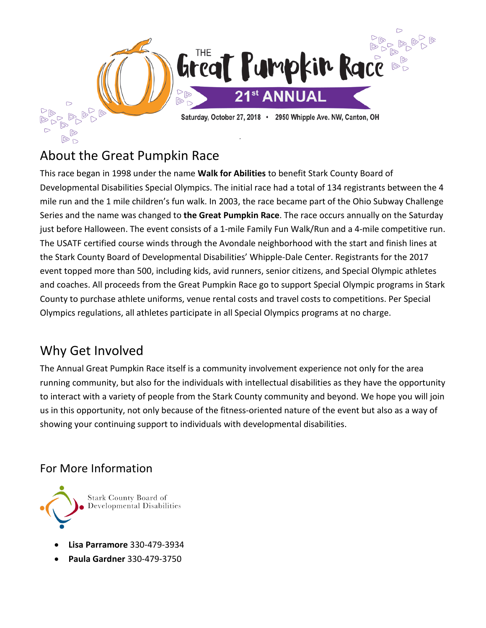

# About the Great Pumpkin Race

This race began in 1998 under the name **Walk for Abilities** to benefit Stark County Board of Developmental Disabilities Special Olympics. The initial race had a total of 134 registrants between the 4 mile run and the 1 mile children's fun walk. In 2003, the race became part of the Ohio Subway Challenge Series and the name was changed to **the Great Pumpkin Race**. The race occurs annually on the Saturday just before Halloween. The event consists of a 1-mile Family Fun Walk/Run and a 4-mile competitive run. The USATF certified course winds through the Avondale neighborhood with the start and finish lines at the Stark County Board of Developmental Disabilities' Whipple-Dale Center. Registrants for the 2017 event topped more than 500, including kids, avid runners, senior citizens, and Special Olympic athletes and coaches. All proceeds from the Great Pumpkin Race go to support Special Olympic programs in Stark County to purchase athlete uniforms, venue rental costs and travel costs to competitions. Per Special Olympics regulations, all athletes participate in all Special Olympics programs at no charge.

# Why Get Involved

The Annual Great Pumpkin Race itself is a community involvement experience not only for the area running community, but also for the individuals with intellectual disabilities as they have the opportunity to interact with a variety of people from the Stark County community and beyond. We hope you will join us in this opportunity, not only because of the fitness-oriented nature of the event but also as a way of showing your continuing support to individuals with developmental disabilities.

# For More Information



- **Lisa Parramore** 330-479-3934
- **Paula Gardner** 330-479-3750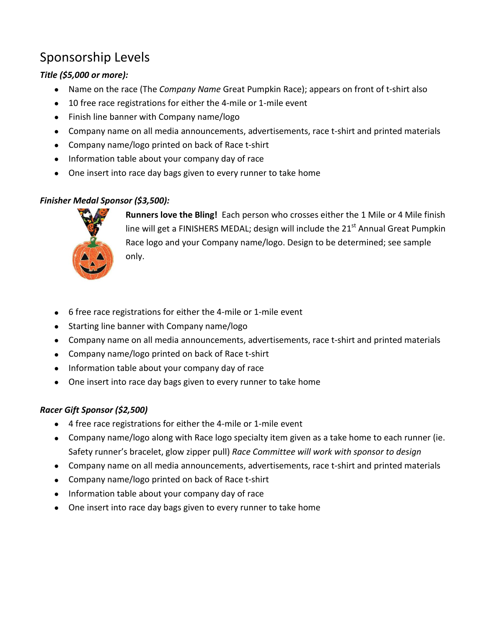# Sponsorship Levels

# *Title (\$5,000 or more):*

- Name on the race (The *Company Name* Great Pumpkin Race); appears on front of t-shirt also
- 10 free race registrations for either the 4-mile or 1-mile event
- Finish line banner with Company name/logo
- Company name on all media announcements, advertisements, race t-shirt and printed materials
- Company name/logo printed on back of Race t-shirt
- Information table about your company day of race
- One insert into race day bags given to every runner to take home

### *Finisher Medal Sponsor (\$3,500):*



**Runners love the Bling!** Each person who crosses either the 1 Mile or 4 Mile finish line will get a FINISHERS MEDAL; design will include the  $21<sup>st</sup>$  Annual Great Pumpkin Race logo and your Company name/logo. Design to be determined; see sample only.

- 6 free race registrations for either the 4-mile or 1-mile event
- Starting line banner with Company name/logo
- Company name on all media announcements, advertisements, race t-shirt and printed materials
- Company name/logo printed on back of Race t-shirt
- Information table about your company day of race
- One insert into race day bags given to every runner to take home

# *Racer Gift Sponsor (\$2,500)*

- 4 free race registrations for either the 4-mile or 1-mile event
- Company name/logo along with Race logo specialty item given as a take home to each runner (ie. Safety runner's bracelet, glow zipper pull) *Race Committee will work with sponsor to design*
- Company name on all media announcements, advertisements, race t-shirt and printed materials
- Company name/logo printed on back of Race t-shirt
- Information table about your company day of race
- One insert into race day bags given to every runner to take home